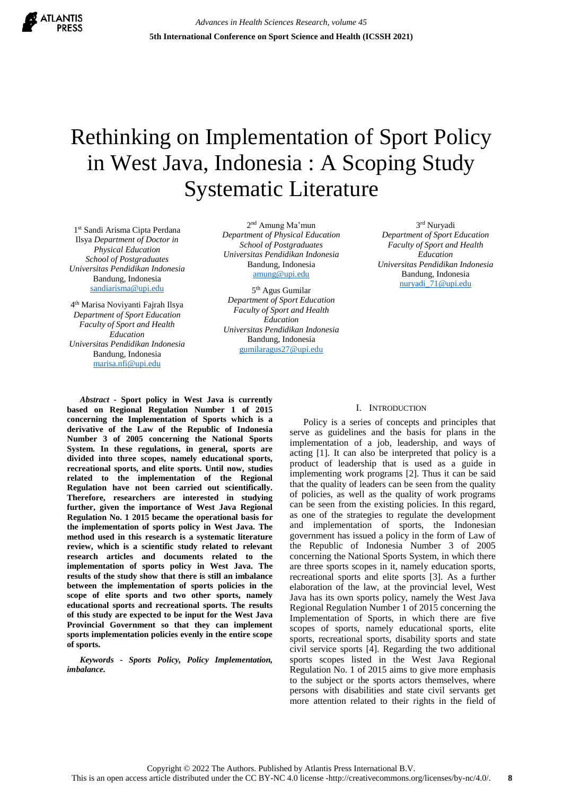

# Rethinking on Implementation of Sport Policy in West Java, Indonesia : A Scoping Study Systematic Literature

1 st Sandi Arisma Cipta Perdana Ilsya *Department of Doctor in Physical Education School of Postgraduates Universitas Pendidikan Indonesia* Bandung, Indonesia [sandiarisma@upi.edu](mailto:sandiarisma@upi.edu)

4 th Marisa Noviyanti Fajrah Ilsya *Department of Sport Education Faculty of Sport and Health Education Universitas Pendidikan Indonesia* Bandung, Indonesia [marisa.nfi@upi.edu](mailto:marisa.nfi@upi.edu)

2 nd Amung Ma'mun *Department of Physical Education School of Postgraduates Universitas Pendidikan Indonesia* Bandung, Indonesia [amung@upi.edu](mailto:amung@upi.edu)

5<sup>th</sup> Agus Gumilar *Department of Sport Education Faculty of Sport and Health Education Universitas Pendidikan Indonesia* Bandung, Indonesia [gumilaragus27@upi.edu](mailto:gumilaragus27@upi.edu) 

3 rd Nuryadi *Department of Sport Education Faculty of Sport and Health Education Universitas Pendidikan Indonesia* Bandung, Indonesia [nuryadi\\_71@upi.edu](mailto:nuryadi_71@upi.edu)

*Abstract -* **Sport policy in West Java is currently based on Regional Regulation Number 1 of 2015 concerning the Implementation of Sports which is a derivative of the Law of the Republic of Indonesia Number 3 of 2005 concerning the National Sports System. In these regulations, in general, sports are divided into three scopes, namely educational sports, recreational sports, and elite sports. Until now, studies related to the implementation of the Regional Regulation have not been carried out scientifically. Therefore, researchers are interested in studying further, given the importance of West Java Regional Regulation No. 1 2015 became the operational basis for the implementation of sports policy in West Java. The method used in this research is a systematic literature review, which is a scientific study related to relevant research articles and documents related to the implementation of sports policy in West Java. The results of the study show that there is still an imbalance between the implementation of sports policies in the scope of elite sports and two other sports, namely educational sports and recreational sports. The results of this study are expected to be input for the West Java Provincial Government so that they can implement sports implementation policies evenly in the entire scope of sports.**

*Keywords - Sports Policy, Policy Implementation, imbalance.*

# I. INTRODUCTION

Policy is a series of concepts and principles that serve as guidelines and the basis for plans in the implementation of a job, leadership, and ways of acting [1]. It can also be interpreted that policy is a product of leadership that is used as a guide in implementing work programs [2]. Thus it can be said that the quality of leaders can be seen from the quality of policies, as well as the quality of work programs can be seen from the existing policies. In this regard, as one of the strategies to regulate the development and implementation of sports, the Indonesian government has issued a policy in the form of Law of the Republic of Indonesia Number 3 of 2005 concerning the National Sports System, in which there are three sports scopes in it, namely education sports, recreational sports and elite sports [3]. As a further elaboration of the law, at the provincial level, West Java has its own sports policy, namely the West Java Regional Regulation Number 1 of 2015 concerning the Implementation of Sports, in which there are five scopes of sports, namely educational sports, elite sports, recreational sports, disability sports and state civil service sports [4]. Regarding the two additional sports scopes listed in the West Java Regional Regulation No. 1 of 2015 aims to give more emphasis to the subject or the sports actors themselves, where persons with disabilities and state civil servants get more attention related to their rights in the field of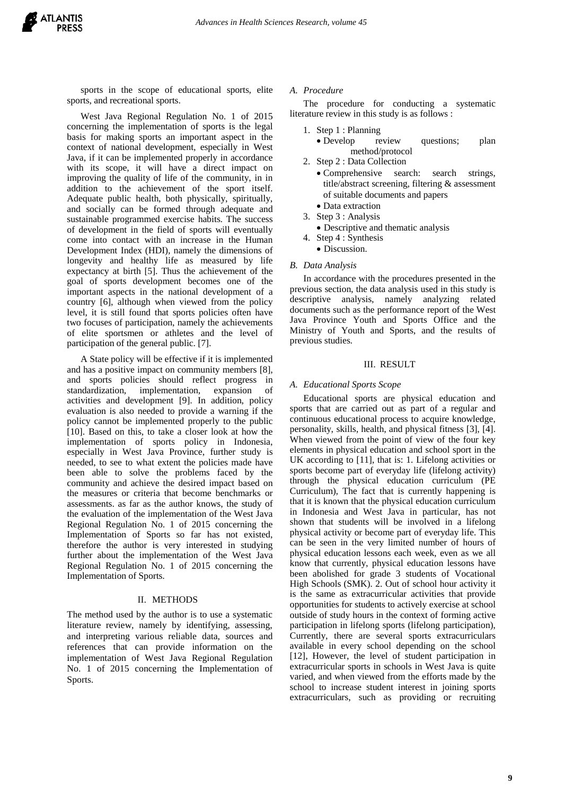sports in the scope of educational sports, elite sports, and recreational sports.

West Java Regional Regulation No. 1 of 2015 concerning the implementation of sports is the legal basis for making sports an important aspect in the context of national development, especially in West Java, if it can be implemented properly in accordance with its scope, it will have a direct impact on improving the quality of life of the community, in in addition to the achievement of the sport itself. Adequate public health, both physically, spiritually, and socially can be formed through adequate and sustainable programmed exercise habits. The success of development in the field of sports will eventually come into contact with an increase in the Human Development Index (HDI), namely the dimensions of longevity and healthy life as measured by life expectancy at birth [5]. Thus the achievement of the goal of sports development becomes one of the important aspects in the national development of a country [6], although when viewed from the policy level, it is still found that sports policies often have two focuses of participation, namely the achievements of elite sportsmen or athletes and the level of participation of the general public. [7].

A State policy will be effective if it is implemented and has a positive impact on community members [8], and sports policies should reflect progress in standardization, implementation, expansion of activities and development [9]. In addition, policy evaluation is also needed to provide a warning if the policy cannot be implemented properly to the public [10]. Based on this, to take a closer look at how the implementation of sports policy in Indonesia, especially in West Java Province, further study is needed, to see to what extent the policies made have been able to solve the problems faced by the community and achieve the desired impact based on the measures or criteria that become benchmarks or assessments. as far as the author knows, the study of the evaluation of the implementation of the West Java Regional Regulation No. 1 of 2015 concerning the Implementation of Sports so far has not existed, therefore the author is very interested in studying further about the implementation of the West Java Regional Regulation No. 1 of 2015 concerning the Implementation of Sports.

# II. METHODS

The method used by the author is to use a systematic literature review, namely by identifying, assessing, and interpreting various reliable data, sources and references that can provide information on the implementation of West Java Regional Regulation No. 1 of 2015 concerning the Implementation of Sports.

## *A. Procedure*

The procedure for conducting a systematic literature review in this study is as follows :

- 1. Step 1 : Planning
	- Develop review questions; plan method/protocol
- 2. Step 2 : Data Collection
	- Comprehensive search: search strings, title/abstract screening, filtering & assessment of suitable documents and papers
	- Data extraction
- 3. Step 3 : Analysis
- Descriptive and thematic analysis
- 4. Step 4 : Synthesis
	- Discussion.

## *B. Data Analysis*

In accordance with the procedures presented in the previous section, the data analysis used in this study is descriptive analysis, namely analyzing related documents such as the performance report of the West Java Province Youth and Sports Office and the Ministry of Youth and Sports, and the results of previous studies.

#### III. RESULT

## *A. Educational Sports Scope*

Educational sports are physical education and sports that are carried out as part of a regular and continuous educational process to acquire knowledge, personality, skills, health, and physical fitness [3], [4]. When viewed from the point of view of the four key elements in physical education and school sport in the UK according to [11], that is: 1. Lifelong activities or sports become part of everyday life (lifelong activity) through the physical education curriculum (PE Curriculum), The fact that is currently happening is that it is known that the physical education curriculum in Indonesia and West Java in particular, has not shown that students will be involved in a lifelong physical activity or become part of everyday life. This can be seen in the very limited number of hours of physical education lessons each week, even as we all know that currently, physical education lessons have been abolished for grade 3 students of Vocational High Schools (SMK). 2. Out of school hour activity it is the same as extracurricular activities that provide opportunities for students to actively exercise at school outside of study hours in the context of forming active participation in lifelong sports (lifelong participation), Currently, there are several sports extracurriculars available in every school depending on the school [12], However, the level of student participation in extracurricular sports in schools in West Java is quite varied, and when viewed from the efforts made by the school to increase student interest in joining sports extracurriculars, such as providing or recruiting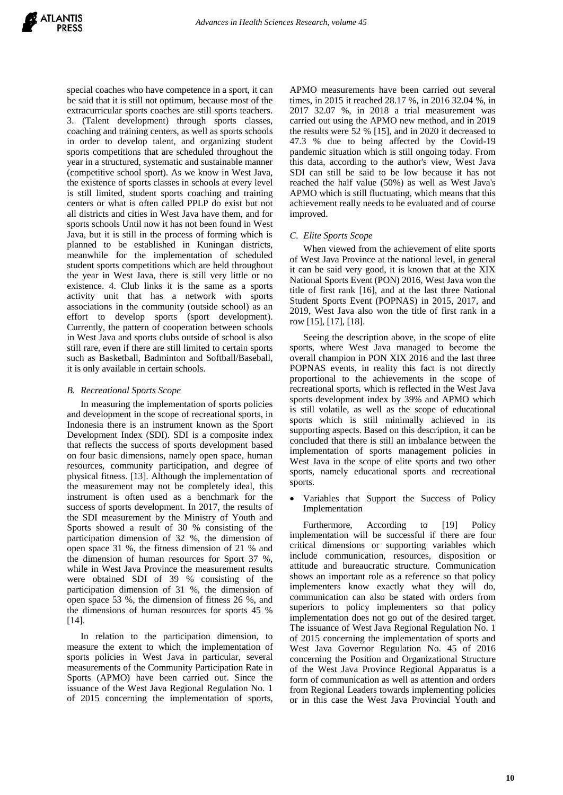special coaches who have competence in a sport, it can be said that it is still not optimum, because most of the extracurricular sports coaches are still sports teachers. 3. (Talent development) through sports classes, coaching and training centers, as well as sports schools in order to develop talent, and organizing student sports competitions that are scheduled throughout the year in a structured, systematic and sustainable manner (competitive school sport). As we know in West Java, the existence of sports classes in schools at every level is still limited, student sports coaching and training centers or what is often called PPLP do exist but not all districts and cities in West Java have them, and for sports schools Until now it has not been found in West Java, but it is still in the process of forming which is planned to be established in Kuningan districts, meanwhile for the implementation of scheduled student sports competitions which are held throughout the year in West Java, there is still very little or no existence. 4. Club links it is the same as a sports activity unit that has a network with sports associations in the community (outside school) as an effort to develop sports (sport development). Currently, the pattern of cooperation between schools in West Java and sports clubs outside of school is also still rare, even if there are still limited to certain sports such as Basketball, Badminton and Softball/Baseball, it is only available in certain schools.

# *B. Recreational Sports Scope*

In measuring the implementation of sports policies and development in the scope of recreational sports, in Indonesia there is an instrument known as the Sport Development Index (SDI). SDI is a composite index that reflects the success of sports development based on four basic dimensions, namely open space, human resources, community participation, and degree of physical fitness. [13]. Although the implementation of the measurement may not be completely ideal, this instrument is often used as a benchmark for the success of sports development. In 2017, the results of the SDI measurement by the Ministry of Youth and Sports showed a result of 30 % consisting of the participation dimension of 32 %, the dimension of open space 31 %, the fitness dimension of 21 % and the dimension of human resources for Sport 37 %, while in West Java Province the measurement results were obtained SDI of 39 % consisting of the participation dimension of 31 %, the dimension of open space 53 %, the dimension of fitness 26 %, and the dimensions of human resources for sports 45 %  $[14]$ .

In relation to the participation dimension, to measure the extent to which the implementation of sports policies in West Java in particular, several measurements of the Community Participation Rate in Sports (APMO) have been carried out. Since the issuance of the West Java Regional Regulation No. 1 of 2015 concerning the implementation of sports,

APMO measurements have been carried out several times, in 2015 it reached 28.17 %, in 2016 32.04 %, in 2017 32.07 %, in 2018 a trial measurement was carried out using the APMO new method, and in 2019 the results were 52 % [15], and in 2020 it decreased to 47.3 % due to being affected by the Covid-19 pandemic situation which is still ongoing today. From this data, according to the author's view, West Java SDI can still be said to be low because it has not reached the half value (50%) as well as West Java's APMO which is still fluctuating, which means that this achievement really needs to be evaluated and of course improved.

## *C. Elite Sports Scope*

When viewed from the achievement of elite sports of West Java Province at the national level, in general it can be said very good, it is known that at the XIX National Sports Event (PON) 2016, West Java won the title of first rank [16], and at the last three National Student Sports Event (POPNAS) in 2015, 2017, and 2019, West Java also won the title of first rank in a row [15], [17], [18].

Seeing the description above, in the scope of elite sports, where West Java managed to become the overall champion in PON XIX 2016 and the last three POPNAS events, in reality this fact is not directly proportional to the achievements in the scope of recreational sports, which is reflected in the West Java sports development index by 39% and APMO which is still volatile, as well as the scope of educational sports which is still minimally achieved in its supporting aspects. Based on this description, it can be concluded that there is still an imbalance between the implementation of sports management policies in West Java in the scope of elite sports and two other sports, namely educational sports and recreational sports.

 Variables that Support the Success of Policy Implementation

Furthermore, According to [19] Policy implementation will be successful if there are four critical dimensions or supporting variables which include communication, resources, disposition or attitude and bureaucratic structure. Communication shows an important role as a reference so that policy implementers know exactly what they will do, communication can also be stated with orders from superiors to policy implementers so that policy implementation does not go out of the desired target. The issuance of West Java Regional Regulation No. 1 of 2015 concerning the implementation of sports and West Java Governor Regulation No. 45 of 2016 concerning the Position and Organizational Structure of the West Java Province Regional Apparatus is a form of communication as well as attention and orders from Regional Leaders towards implementing policies or in this case the West Java Provincial Youth and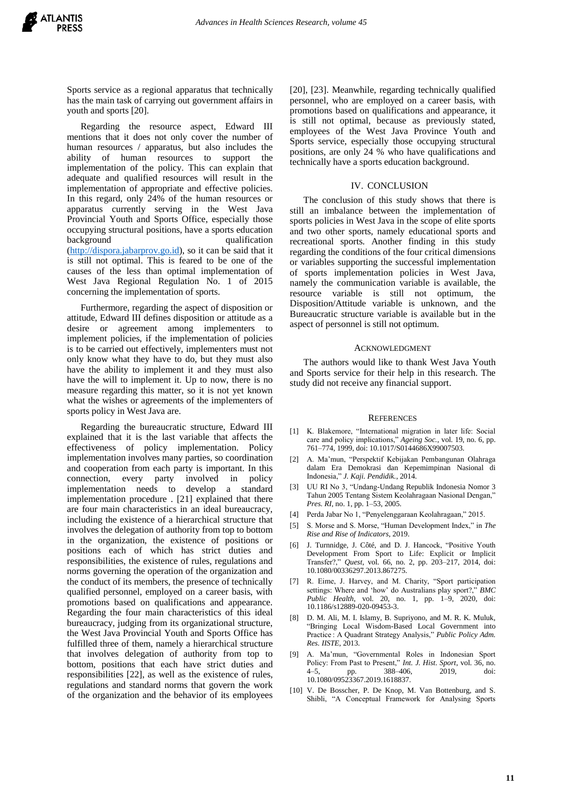Sports service as a regional apparatus that technically has the main task of carrying out government affairs in youth and sports [20].

Regarding the resource aspect, Edward III mentions that it does not only cover the number of human resources / apparatus, but also includes the ability of human resources to support the implementation of the policy. This can explain that adequate and qualified resources will result in the implementation of appropriate and effective policies. In this regard, only 24% of the human resources or apparatus currently serving in the West Java Provincial Youth and Sports Office, especially those occupying structural positions, have a sports education background qualification [\(http://dispora.jabarprov.go.id\)](http://dispora.jabarprov.go.id/), so it can be said that it is still not optimal. This is feared to be one of the causes of the less than optimal implementation of West Java Regional Regulation No. 1 of 2015 concerning the implementation of sports.

Furthermore, regarding the aspect of disposition or attitude, Edward III defines disposition or attitude as a desire or agreement among implementers to implement policies, if the implementation of policies is to be carried out effectively, implementers must not only know what they have to do, but they must also have the ability to implement it and they must also have the will to implement it. Up to now, there is no measure regarding this matter, so it is not yet known what the wishes or agreements of the implementers of sports policy in West Java are.

Regarding the bureaucratic structure, Edward III explained that it is the last variable that affects the effectiveness of policy implementation. Policy implementation involves many parties, so coordination and cooperation from each party is important. In this connection, every party involved in policy implementation needs to develop a standard implementation procedure . [21] explained that there are four main characteristics in an ideal bureaucracy, including the existence of a hierarchical structure that involves the delegation of authority from top to bottom in the organization, the existence of positions or positions each of which has strict duties and responsibilities, the existence of rules, regulations and norms governing the operation of the organization and the conduct of its members, the presence of technically qualified personnel, employed on a career basis, with promotions based on qualifications and appearance. Regarding the four main characteristics of this ideal bureaucracy, judging from its organizational structure, the West Java Provincial Youth and Sports Office has fulfilled three of them, namely a hierarchical structure that involves delegation of authority from top to bottom, positions that each have strict duties and responsibilities [22], as well as the existence of rules, regulations and standard norms that govern the work of the organization and the behavior of its employees

[20], [23]. Meanwhile, regarding technically qualified personnel, who are employed on a career basis, with promotions based on qualifications and appearance, it is still not optimal, because as previously stated, employees of the West Java Province Youth and Sports service, especially those occupying structural positions, are only 24 % who have qualifications and technically have a sports education background.

#### IV. CONCLUSION

The conclusion of this study shows that there is still an imbalance between the implementation of sports policies in West Java in the scope of elite sports and two other sports, namely educational sports and recreational sports. Another finding in this study regarding the conditions of the four critical dimensions or variables supporting the successful implementation of sports implementation policies in West Java, namely the communication variable is available, the resource variable is still not optimum, the Disposition/Attitude variable is unknown, and the Bureaucratic structure variable is available but in the aspect of personnel is still not optimum.

#### ACKNOWLEDGMENT

The authors would like to thank West Java Youth and Sports service for their help in this research. The study did not receive any financial support.

#### **REFERENCES**

- [1] K. Blakemore, "International migration in later life: Social care and policy implications," *Ageing Soc.*, vol. 19, no. 6, pp. 761–774, 1999, doi: 10.1017/S0144686X99007503.
- [2] A. Ma'mun, "Perspektif Kebijakan Pembangunan Olahraga dalam Era Demokrasi dan Kepemimpinan Nasional di Indonesia," *J. Kaji. Pendidik.*, 2014.
- [3] UU RI No 3, "Undang-Undang Republik Indonesia Nomor 3 Tahun 2005 Tentang Sistem Keolahragaan Nasional Dengan," *Pres. RI*, no. 1, pp.  $1 - 53$ , 2005.
- [4] Perda Jabar No 1, "Penyelenggaraan Keolahragaan," 2015.
- [5] S. Morse and S. Morse, "Human Development Index," in *The Rise and Rise of Indicators*, 2019.
- [6] J. Turnnidge, J. Côté, and D. J. Hancock, "Positive Youth Development From Sport to Life: Explicit or Implicit Transfer?," *Quest*, vol. 66, no. 2, pp. 203–217, 2014, doi: 10.1080/00336297.2013.867275.
- [7] R. Eime, J. Harvey, and M. Charity, "Sport participation settings: Where and 'how' do Australians play sport?," *BMC Public Health*, vol. 20, no. 1, pp. 1–9, 2020, doi: 10.1186/s12889-020-09453-3.
- [8] D. M. Ali, M. I. Islamy, B. Supriyono, and M. R. K. Muluk, "Bringing Local Wisdom-Based Local Government into Practice : A Quadrant Strategy Analysis," *Public Policy Adm. Res. IISTE*, 2013.
- [9] A. Ma'mun, "Governmental Roles in Indonesian Sport Policy: From Past to Present," *Int. J. Hist. Sport*, vol. 36, no. 4–5, pp. 388–406, 2019, doi: 10.1080/09523367.2019.1618837.
- [10] V. De Bosscher, P. De Knop, M. Van Bottenburg, and S. Shibli, "A Conceptual Framework for Analysing Sports